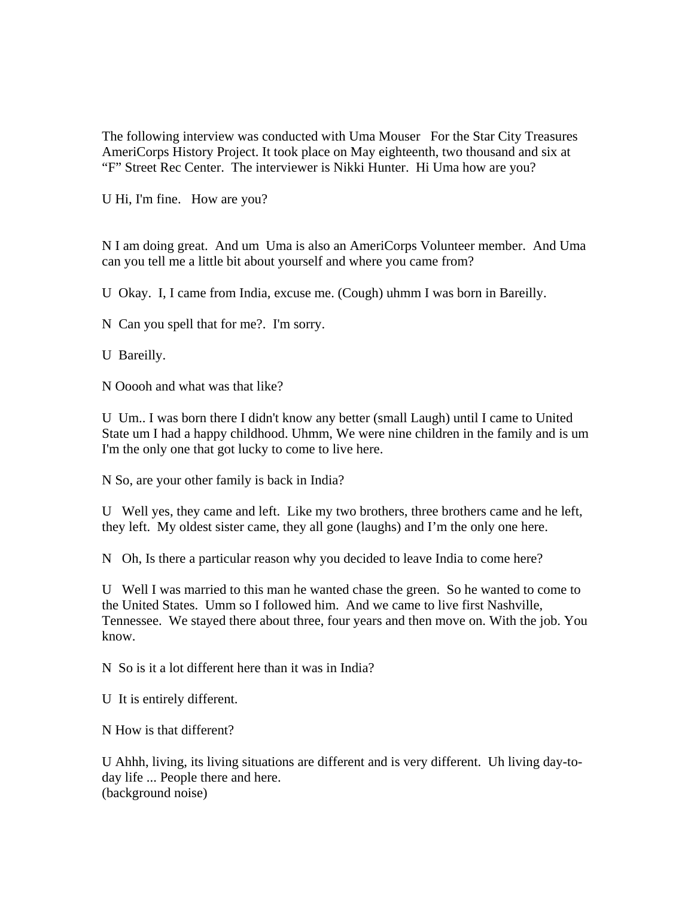The following interview was conducted with Uma Mouser For the Star City Treasures AmeriCorps History Project. It took place on May eighteenth, two thousand and six at "F" Street Rec Center. The interviewer is Nikki Hunter. Hi Uma how are you?

U Hi, I'm fine. How are you?

N I am doing great. And um Uma is also an AmeriCorps Volunteer member. And Uma can you tell me a little bit about yourself and where you came from?

U Okay. I, I came from India, excuse me. (Cough) uhmm I was born in Bareilly.

N Can you spell that for me?. I'm sorry.

U Bareilly.

N Ooooh and what was that like?

U Um.. I was born there I didn't know any better (small Laugh) until I came to United State um I had a happy childhood. Uhmm, We were nine children in the family and is um I'm the only one that got lucky to come to live here.

N So, are your other family is back in India?

U Well yes, they came and left. Like my two brothers, three brothers came and he left, they left. My oldest sister came, they all gone (laughs) and I'm the only one here.

N Oh, Is there a particular reason why you decided to leave India to come here?

U Well I was married to this man he wanted chase the green. So he wanted to come to the United States. Umm so I followed him. And we came to live first Nashville, Tennessee. We stayed there about three, four years and then move on. With the job. You know.

N So is it a lot different here than it was in India?

U It is entirely different.

N How is that different?

U Ahhh, living, its living situations are different and is very different. Uh living day-today life ... People there and here. (background noise)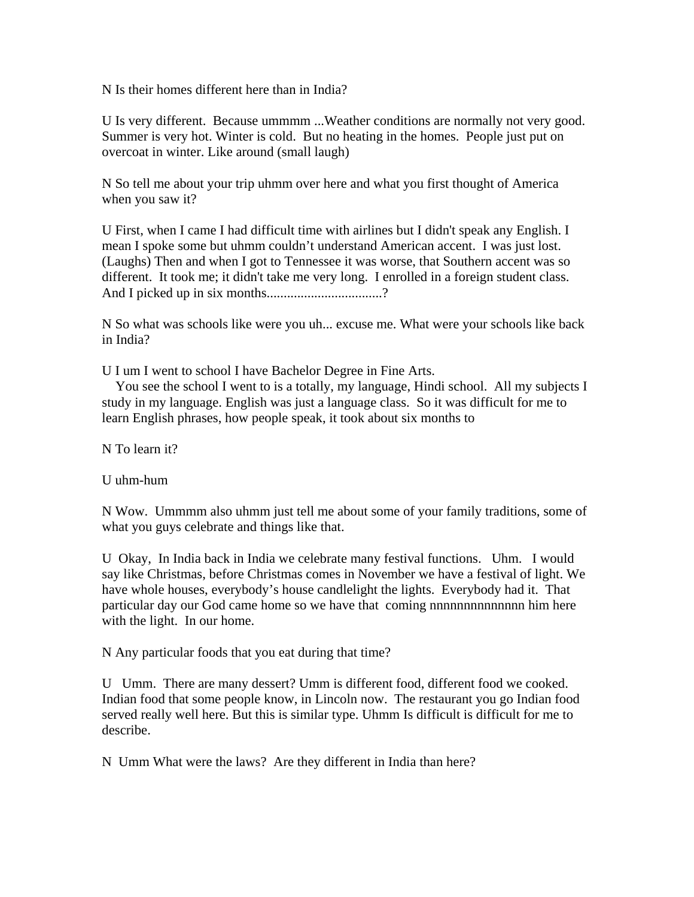N Is their homes different here than in India?

U Is very different. Because ummmm ...Weather conditions are normally not very good. Summer is very hot. Winter is cold. But no heating in the homes. People just put on overcoat in winter. Like around (small laugh)

N So tell me about your trip uhmm over here and what you first thought of America when you saw it?

U First, when I came I had difficult time with airlines but I didn't speak any English. I mean I spoke some but uhmm couldn't understand American accent. I was just lost. (Laughs) Then and when I got to Tennessee it was worse, that Southern accent was so different. It took me; it didn't take me very long. I enrolled in a foreign student class. And I picked up in six months...............................?

N So what was schools like were you uh... excuse me. What were your schools like back in India?

U I um I went to school I have Bachelor Degree in Fine Arts.

 You see the school I went to is a totally, my language, Hindi school. All my subjects I study in my language. English was just a language class. So it was difficult for me to learn English phrases, how people speak, it took about six months to

N To learn it?

U uhm-hum

N Wow. Ummmm also uhmm just tell me about some of your family traditions, some of what you guys celebrate and things like that.

U Okay, In India back in India we celebrate many festival functions. Uhm. I would say like Christmas, before Christmas comes in November we have a festival of light. We have whole houses, everybody's house candlelight the lights. Everybody had it. That particular day our God came home so we have that coming nnnnnnnnnnnnnn him here with the light. In our home.

N Any particular foods that you eat during that time?

U Umm. There are many dessert? Umm is different food, different food we cooked. Indian food that some people know, in Lincoln now. The restaurant you go Indian food served really well here. But this is similar type. Uhmm Is difficult is difficult for me to describe.

N Umm What were the laws? Are they different in India than here?